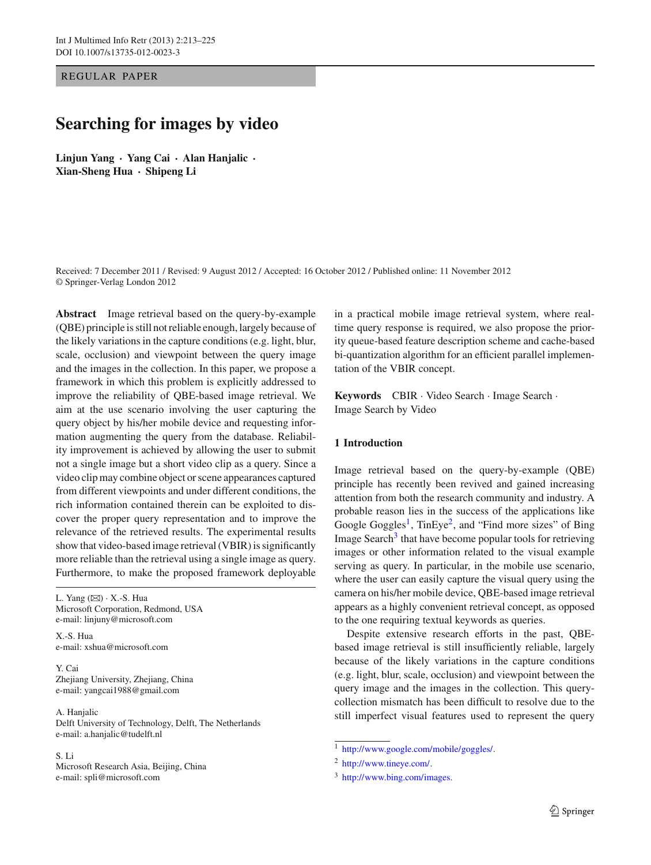REGULAR PAPER

# **Searching for images by video**

**Linjun Yang · Yang Cai · Alan Hanjalic · Xian-Sheng Hua · Shipeng Li**

Received: 7 December 2011 / Revised: 9 August 2012 / Accepted: 16 October 2012 / Published online: 11 November 2012 © Springer-Verlag London 2012

**Abstract** Image retrieval based on the query-by-example (QBE) principle is still not reliable enough, largely because of the likely variations in the capture conditions (e.g. light, blur, scale, occlusion) and viewpoint between the query image and the images in the collection. In this paper, we propose a framework in which this problem is explicitly addressed to improve the reliability of QBE-based image retrieval. We aim at the use scenario involving the user capturing the query object by his/her mobile device and requesting information augmenting the query from the database. Reliability improvement is achieved by allowing the user to submit not a single image but a short video clip as a query. Since a video clip may combine object or scene appearances captured from different viewpoints and under different conditions, the rich information contained therein can be exploited to discover the proper query representation and to improve the relevance of the retrieved results. The experimental results show that video-based image retrieval (VBIR) is significantly more reliable than the retrieval using a single image as query. Furthermore, to make the proposed framework deployable

L. Yang  $(\boxtimes) \cdot X$ .-S. Hua Microsoft Corporation, Redmond, USA e-mail: linjuny@microsoft.com

X.-S. Hua e-mail: xshua@microsoft.com

Y. Cai Zhejiang University, Zhejiang, China e-mail: yangcai1988@gmail.com

A. Hanialic Delft University of Technology, Delft, The Netherlands e-mail: a.hanjalic@tudelft.nl

## S. Li

Microsoft Research Asia, Beijing, China e-mail: spli@microsoft.com

in a practical mobile image retrieval system, where realtime query response is required, we also propose the priority queue-based feature description scheme and cache-based bi-quantization algorithm for an efficient parallel implementation of the VBIR concept.

**Keywords** CBIR · Video Search · Image Search · Image Search by Video

# **1 Introduction**

Image retrieval based on the query-by-example (QBE) principle has recently been revived and gained increasing attention from both the research community and industry. A probable reason lies in the success of the applications like Google Goggles<sup>1</sup>, TinEye<sup>2</sup>, and "Find more sizes" of Bing Image Search<sup>3</sup> that have become popular tools for retrieving images or other information related to the visual example serving as query. In particular, in the mobile use scenario, where the user can easily capture the visual query using the camera on his/her mobile device, QBE-based image retrieval appears as a highly convenient retrieval concept, as opposed to the one requiring textual keywords as queries.

Despite extensive research efforts in the past, QBEbased image retrieval is still insufficiently reliable, largely because of the likely variations in the capture conditions (e.g. light, blur, scale, occlusion) and viewpoint between the query image and the images in the collection. This querycollection mismatch has been difficult to resolve due to the still imperfect visual features used to represent the query

<sup>1</sup> [http://www.google.com/mobile/goggles/.](http://www.google.com/mobile/goggles/)

<span id="page-0-0"></span><sup>2</sup> [http://www.tineye.com/.](http://www.tineye.com/)

<span id="page-0-2"></span><span id="page-0-1"></span><sup>3</sup> [http://www.bing.com/images.](http://www.bing.com/images)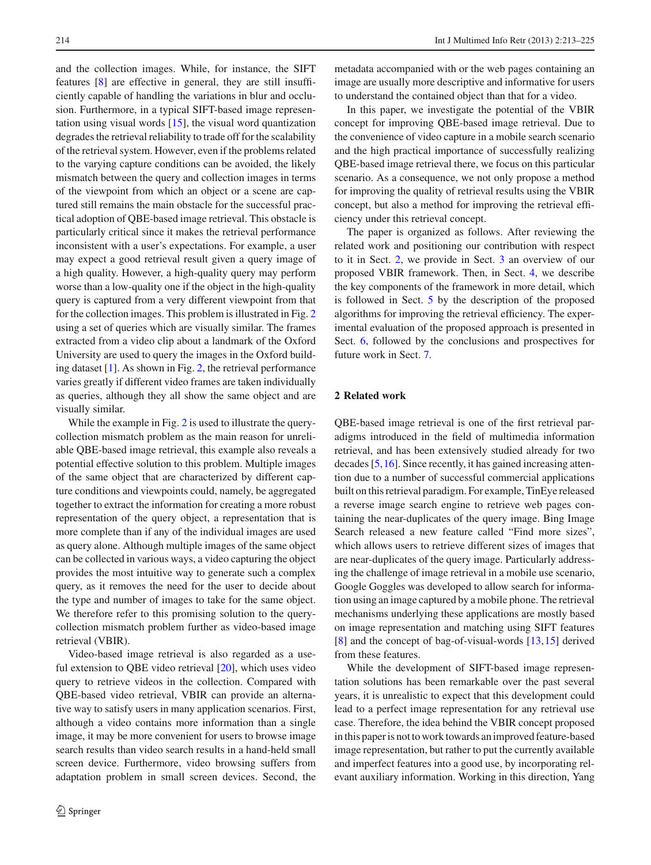and the collection images. While, for instance, the SIFT features [\[8\]](#page-12-0) are effective in general, they are still insufficiently capable of handling the variations in blur and occlusion. Furthermore, in a typical SIFT-based image representation using visual words [\[15](#page-12-1)], the visual word quantization degrades the retrieval reliability to trade off for the scalability of the retrieval system. However, even if the problems related to the varying capture conditions can be avoided, the likely mismatch between the query and collection images in terms of the viewpoint from which an object or a scene are captured still remains the main obstacle for the successful practical adoption of QBE-based image retrieval. This obstacle is particularly critical since it makes the retrieval performance inconsistent with a user's expectations. For example, a user may expect a good retrieval result given a query image of a high quality. However, a high-quality query may perform worse than a low-quality one if the object in the high-quality query is captured from a very different viewpoint from that for the collection images. This problem is illustrated in Fig. [2](#page-3-0) using a set of queries which are visually similar. The frames extracted from a video clip about a landmark of the Oxford University are used to query the images in the Oxford building dataset [\[1\]](#page-12-2). As shown in Fig. [2,](#page-3-0) the retrieval performance varies greatly if different video frames are taken individually as queries, although they all show the same object and are visually similar.

While the example in Fig. [2](#page-3-0) is used to illustrate the querycollection mismatch problem as the main reason for unreliable QBE-based image retrieval, this example also reveals a potential effective solution to this problem. Multiple images of the same object that are characterized by different capture conditions and viewpoints could, namely, be aggregated together to extract the information for creating a more robust representation of the query object, a representation that is more complete than if any of the individual images are used as query alone. Although multiple images of the same object can be collected in various ways, a video capturing the object provides the most intuitive way to generate such a complex query, as it removes the need for the user to decide about the type and number of images to take for the same object. We therefore refer to this promising solution to the querycollection mismatch problem further as video-based image retrieval (VBIR).

Video-based image retrieval is also regarded as a useful extension to QBE video retrieval [\[20\]](#page-12-3), which uses video query to retrieve videos in the collection. Compared with QBE-based video retrieval, VBIR can provide an alternative way to satisfy users in many application scenarios. First, although a video contains more information than a single image, it may be more convenient for users to browse image search results than video search results in a hand-held small screen device. Furthermore, video browsing suffers from adaptation problem in small screen devices. Second, the metadata accompanied with or the web pages containing an image are usually more descriptive and informative for users to understand the contained object than that for a video.

In this paper, we investigate the potential of the VBIR concept for improving QBE-based image retrieval. Due to the convenience of video capture in a mobile search scenario and the high practical importance of successfully realizing QBE-based image retrieval there, we focus on this particular scenario. As a consequence, we not only propose a method for improving the quality of retrieval results using the VBIR concept, but also a method for improving the retrieval efficiency under this retrieval concept.

The paper is organized as follows. After reviewing the related work and positioning our contribution with respect to it in Sect. [2,](#page-1-0) we provide in Sect. [3](#page-2-0) an overview of our proposed VBIR framework. Then, in Sect. [4,](#page-2-1) we describe the key components of the framework in more detail, which is followed in Sect. [5](#page-5-0) by the description of the proposed algorithms for improving the retrieval efficiency. The experimental evaluation of the proposed approach is presented in Sect. [6,](#page-7-0) followed by the conclusions and prospectives for future work in Sect. [7.](#page-11-0)

# <span id="page-1-0"></span>**2 Related work**

QBE-based image retrieval is one of the first retrieval paradigms introduced in the field of multimedia information retrieval, and has been extensively studied already for two decades [\[5](#page-12-4)[,16\]](#page-12-5). Since recently, it has gained increasing attention due to a number of successful commercial applications built on this retrieval paradigm. For example, TinEye released a reverse image search engine to retrieve web pages containing the near-duplicates of the query image. Bing Image Search released a new feature called "Find more sizes", which allows users to retrieve different sizes of images that are near-duplicates of the query image. Particularly addressing the challenge of image retrieval in a mobile use scenario, Google Goggles was developed to allow search for information using an image captured by a mobile phone. The retrieval mechanisms underlying these applications are mostly based on image representation and matching using SIFT features [\[8](#page-12-0)] and the concept of bag-of-visual-words [\[13](#page-12-6),[15\]](#page-12-1) derived from these features.

While the development of SIFT-based image representation solutions has been remarkable over the past several years, it is unrealistic to expect that this development could lead to a perfect image representation for any retrieval use case. Therefore, the idea behind the VBIR concept proposed in this paper is not to work towards an improved feature-based image representation, but rather to put the currently available and imperfect features into a good use, by incorporating relevant auxiliary information. Working in this direction, Yang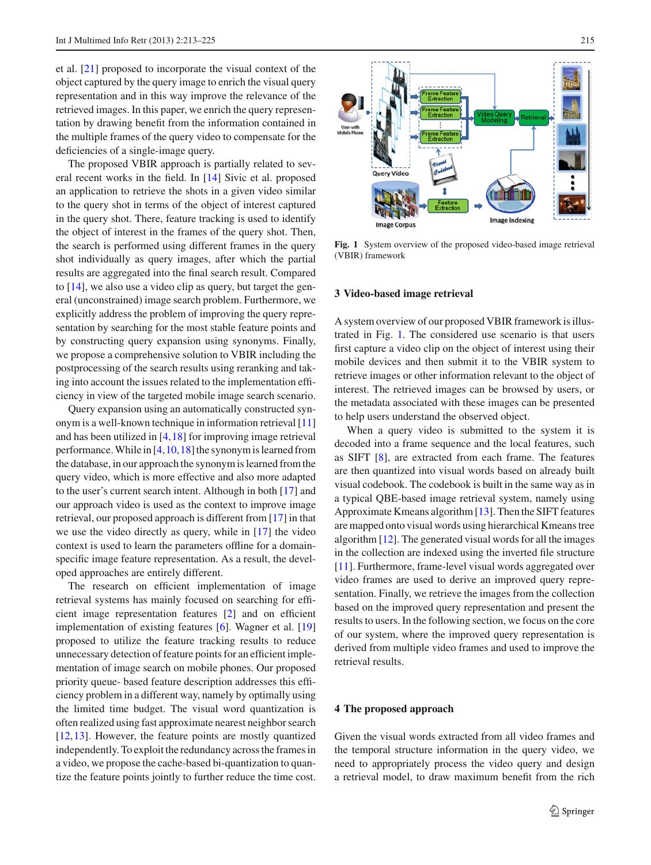et al. [\[21](#page-12-7)] proposed to incorporate the visual context of the object captured by the query image to enrich the visual query representation and in this way improve the relevance of the retrieved images. In this paper, we enrich the query representation by drawing benefit from the information contained in the multiple frames of the query video to compensate for the deficiencies of a single-image query.

The proposed VBIR approach is partially related to several recent works in the field. In [\[14](#page-12-8)] Sivic et al. proposed an application to retrieve the shots in a given video similar to the query shot in terms of the object of interest captured in the query shot. There, feature tracking is used to identify the object of interest in the frames of the query shot. Then, the search is performed using different frames in the query shot individually as query images, after which the partial results are aggregated into the final search result. Compared to [\[14](#page-12-8)], we also use a video clip as query, but target the general (unconstrained) image search problem. Furthermore, we explicitly address the problem of improving the query representation by searching for the most stable feature points and by constructing query expansion using synonyms. Finally, we propose a comprehensive solution to VBIR including the postprocessing of the search results using reranking and taking into account the issues related to the implementation efficiency in view of the targeted mobile image search scenario.

Query expansion using an automatically constructed synonym is a well-known technique in information retrieval [\[11\]](#page-12-9) and has been utilized in [\[4](#page-12-10)[,18](#page-12-11)] for improving image retrieval performance.While in [\[4](#page-12-10),[10,](#page-12-12)[18\]](#page-12-11) the synonym is learned from the database, in our approach the synonym is learned from the query video, which is more effective and also more adapted to the user's current search intent. Although in both [\[17](#page-12-13)] and our approach video is used as the context to improve image retrieval, our proposed approach is different from [\[17](#page-12-13)] in that we use the video directly as query, while in [\[17](#page-12-13)] the video context is used to learn the parameters offline for a domainspecific image feature representation. As a result, the developed approaches are entirely different.

The research on efficient implementation of image retrieval systems has mainly focused on searching for efficient image representation features [\[2\]](#page-12-14) and on efficient implementation of existing features [\[6](#page-12-15)]. Wagner et al. [\[19\]](#page-12-16) proposed to utilize the feature tracking results to reduce unnecessary detection of feature points for an efficient implementation of image search on mobile phones. Our proposed priority queue- based feature description addresses this efficiency problem in a different way, namely by optimally using the limited time budget. The visual word quantization is often realized using fast approximate nearest neighbor search [\[12](#page-12-17),[13\]](#page-12-6). However, the feature points are mostly quantized independently. To exploit the redundancy across the frames in a video, we propose the cache-based bi-quantization to quantize the feature points jointly to further reduce the time cost.



<span id="page-2-2"></span>**Fig. 1** System overview of the proposed video-based image retrieval (VBIR) framework

# <span id="page-2-0"></span>**3 Video-based image retrieval**

A system overview of our proposed VBIR framework is illustrated in Fig. [1.](#page-2-2) The considered use scenario is that users first capture a video clip on the object of interest using their mobile devices and then submit it to the VBIR system to retrieve images or other information relevant to the object of interest. The retrieved images can be browsed by users, or the metadata associated with these images can be presented to help users understand the observed object.

When a query video is submitted to the system it is decoded into a frame sequence and the local features, such as SIFT [\[8](#page-12-0)], are extracted from each frame. The features are then quantized into visual words based on already built visual codebook. The codebook is built in the same way as in a typical QBE-based image retrieval system, namely using Approximate Kmeans algorithm [\[13\]](#page-12-6). Then the SIFT features are mapped onto visual words using hierarchical Kmeans tree algorithm [\[12\]](#page-12-17). The generated visual words for all the images in the collection are indexed using the inverted file structure [\[11](#page-12-9)]. Furthermore, frame-level visual words aggregated over video frames are used to derive an improved query representation. Finally, we retrieve the images from the collection based on the improved query representation and present the results to users. In the following section, we focus on the core of our system, where the improved query representation is derived from multiple video frames and used to improve the retrieval results.

# <span id="page-2-1"></span>**4 The proposed approach**

Given the visual words extracted from all video frames and the temporal structure information in the query video, we need to appropriately process the video query and design a retrieval model, to draw maximum benefit from the rich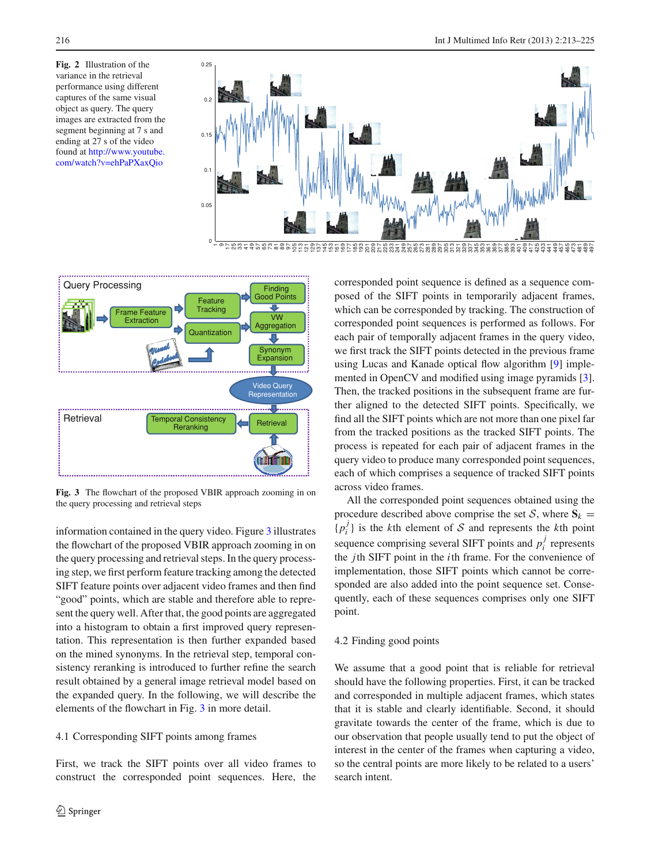<span id="page-3-0"></span>**Fig. 2** Illustration of the variance in the retrieval performance using different captures of the same visual object as query. The query images are extracted from the segment beginning at 7 s and ending at 27 s of the video found at [http://www.youtube.](http://www.youtube.com/watch?v=ehPaPXaxQio) [com/watch?v=ehPaPXaxQio](http://www.youtube.com/watch?v=ehPaPXaxQio)



9 17 25 33 41 49 57 65 73 81 89 97 105 113 121 129 137 145 153 161 169 177 185 193 201 209 217 225 233 241 249 257 265 273 281 289 297 305 313 321 329 337 345 353 361 369 377 385 393 401 409 417 425 433 441 449 457 465 473 481 489 497



0

 $\overline{ }$ 

<span id="page-3-1"></span>**Fig. 3** The flowchart of the proposed VBIR approach zooming in on the query processing and retrieval steps

information contained in the query video. Figure [3](#page-3-1) illustrates the flowchart of the proposed VBIR approach zooming in on the query processing and retrieval steps. In the query processing step, we first perform feature tracking among the detected SIFT feature points over adjacent video frames and then find "good" points, which are stable and therefore able to represent the query well. After that, the good points are aggregated into a histogram to obtain a first improved query representation. This representation is then further expanded based on the mined synonyms. In the retrieval step, temporal consistency reranking is introduced to further refine the search result obtained by a general image retrieval model based on the expanded query. In the following, we will describe the elements of the flowchart in Fig. [3](#page-3-1) in more detail.

# 4.1 Corresponding SIFT points among frames

First, we track the SIFT points over all video frames to construct the corresponded point sequences. Here, the corresponded point sequence is defined as a sequence composed of the SIFT points in temporarily adjacent frames, which can be corresponded by tracking. The construction of corresponded point sequences is performed as follows. For each pair of temporally adjacent frames in the query video, we first track the SIFT points detected in the previous frame using Lucas and Kanade optical flow algorithm [\[9\]](#page-12-18) implemented in OpenCV and modified using image pyramids [\[3](#page-12-19)]. Then, the tracked positions in the subsequent frame are further aligned to the detected SIFT points. Specifically, we find all the SIFT points which are not more than one pixel far from the tracked positions as the tracked SIFT points. The process is repeated for each pair of adjacent frames in the query video to produce many corresponded point sequences, each of which comprises a sequence of tracked SIFT points across video frames.

All the corresponded point sequences obtained using the procedure described above comprise the set *S*, where  $S_k$  =  ${p_i^j}$  is the *k*th element of *S* and represents the *k*th point sequence comprising several SIFT points and  $p_i^j$  represents the *j*th SIFT point in the *i*th frame. For the convenience of implementation, those SIFT points which cannot be corresponded are also added into the point sequence set. Consequently, each of these sequences comprises only one SIFT point.

# <span id="page-3-2"></span>4.2 Finding good points

We assume that a good point that is reliable for retrieval should have the following properties. First, it can be tracked and corresponded in multiple adjacent frames, which states that it is stable and clearly identifiable. Second, it should gravitate towards the center of the frame, which is due to our observation that people usually tend to put the object of interest in the center of the frames when capturing a video, so the central points are more likely to be related to a users' search intent.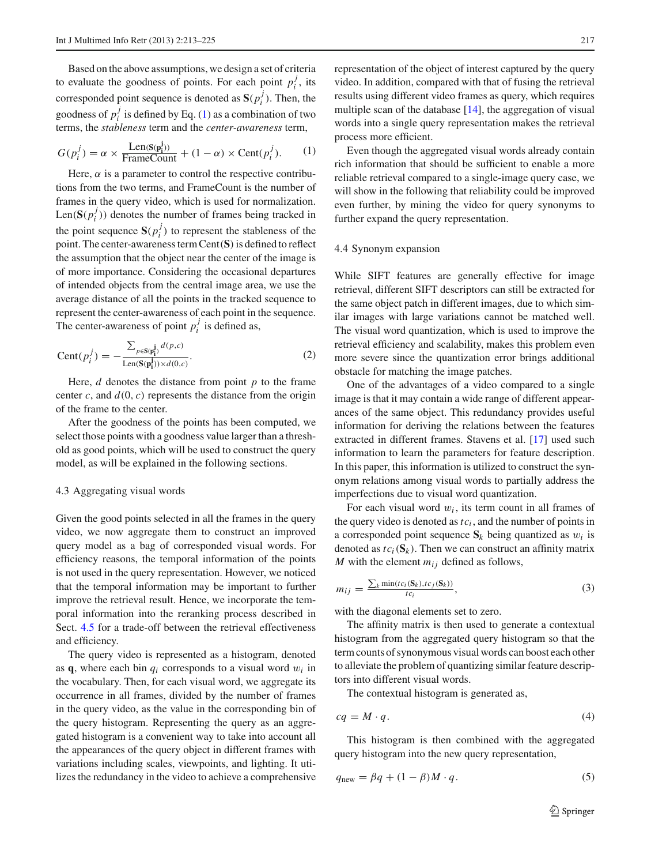Based on the above assumptions, we design a set of criteria to evaluate the goodness of points. For each point  $p_i^j$ , its corresponded point sequence is denoted as  $S(p_i^j)$ . Then, the goodness of  $p_i^j$  is defined by Eq. [\(1\)](#page-4-0) as a combination of two terms, the *stableness* term and the *center-awareness* term,

<span id="page-4-0"></span>
$$
G(p_i^j) = \alpha \times \frac{\text{Len}(\text{Sp}_i^j))}{\text{FrameCount}} + (1 - \alpha) \times \text{Cent}(p_i^j). \tag{1}
$$

Here,  $\alpha$  is a parameter to control the respective contributions from the two terms, and FrameCount is the number of frames in the query video, which is used for normalization. Len( $S(p_i^j)$ ) denotes the number of frames being tracked in the point sequence  $S(p_i^j)$  to represent the stableness of the point. The center-awareness term  $Cent(S)$  is defined to reflect the assumption that the object near the center of the image is of more importance. Considering the occasional departures of intended objects from the central image area, we use the average distance of all the points in the tracked sequence to represent the center-awareness of each point in the sequence. The center-awareness of point  $p_i^j$  is defined as,

$$
\text{Cent}(p_i^j) = -\frac{\sum_{p \in \mathbf{S}(\mathbf{p}_i^j)} d(p,c)}{\text{Len}(\mathbf{S}(\mathbf{p}_i^j)) \times d(0,c)}.
$$
\n(2)

Here, *d* denotes the distance from point *p* to the frame center  $c$ , and  $d(0, c)$  represents the distance from the origin of the frame to the center.

After the goodness of the points has been computed, we select those points with a goodness value larger than a threshold as good points, which will be used to construct the query model, as will be explained in the following sections.

### 4.3 Aggregating visual words

Given the good points selected in all the frames in the query video, we now aggregate them to construct an improved query model as a bag of corresponded visual words. For efficiency reasons, the temporal information of the points is not used in the query representation. However, we noticed that the temporal information may be important to further improve the retrieval result. Hence, we incorporate the temporal information into the reranking process described in Sect. [4.5](#page-5-1) for a trade-off between the retrieval effectiveness and efficiency.

The query video is represented as a histogram, denoted as  $q$ , where each bin  $q_i$  corresponds to a visual word  $w_i$  in the vocabulary. Then, for each visual word, we aggregate its occurrence in all frames, divided by the number of frames in the query video, as the value in the corresponding bin of the query histogram. Representing the query as an aggregated histogram is a convenient way to take into account all the appearances of the query object in different frames with variations including scales, viewpoints, and lighting. It utilizes the redundancy in the video to achieve a comprehensive

representation of the object of interest captured by the query video. In addition, compared with that of fusing the retrieval results using different video frames as query, which requires multiple scan of the database  $[14]$  $[14]$ , the aggregation of visual words into a single query representation makes the retrieval process more efficient.

Even though the aggregated visual words already contain rich information that should be sufficient to enable a more reliable retrieval compared to a single-image query case, we will show in the following that reliability could be improved even further, by mining the video for query synonyms to further expand the query representation.

# <span id="page-4-1"></span>4.4 Synonym expansion

While SIFT features are generally effective for image retrieval, different SIFT descriptors can still be extracted for the same object patch in different images, due to which similar images with large variations cannot be matched well. The visual word quantization, which is used to improve the retrieval efficiency and scalability, makes this problem even more severe since the quantization error brings additional obstacle for matching the image patches.

One of the advantages of a video compared to a single image is that it may contain a wide range of different appearances of the same object. This redundancy provides useful information for deriving the relations between the features extracted in different frames. Stavens et al. [\[17\]](#page-12-13) used such information to learn the parameters for feature description. In this paper, this information is utilized to construct the synonym relations among visual words to partially address the imperfections due to visual word quantization.

For each visual word  $w_i$ , its term count in all frames of the query video is denoted as  $tc_i$ , and the number of points in a corresponded point sequence  $S_k$  being quantized as  $w_i$  is denoted as  $tc_i(S_k)$ . Then we can construct an affinity matrix *M* with the element  $m_{ij}$  defined as follows,

$$
m_{ij} = \frac{\sum_{k} \min(t_{ci}(S_k), t_{cj}(S_k))}{t_{cj}},
$$
\n(3)

with the diagonal elements set to zero.

The affinity matrix is then used to generate a contextual histogram from the aggregated query histogram so that the term counts of synonymous visual words can boost each other to alleviate the problem of quantizing similar feature descriptors into different visual words.

The contextual histogram is generated as,

$$
cq = M \cdot q. \tag{4}
$$

This histogram is then combined with the aggregated query histogram into the new query representation,

$$
q_{\text{new}} = \beta q + (1 - \beta)M \cdot q. \tag{5}
$$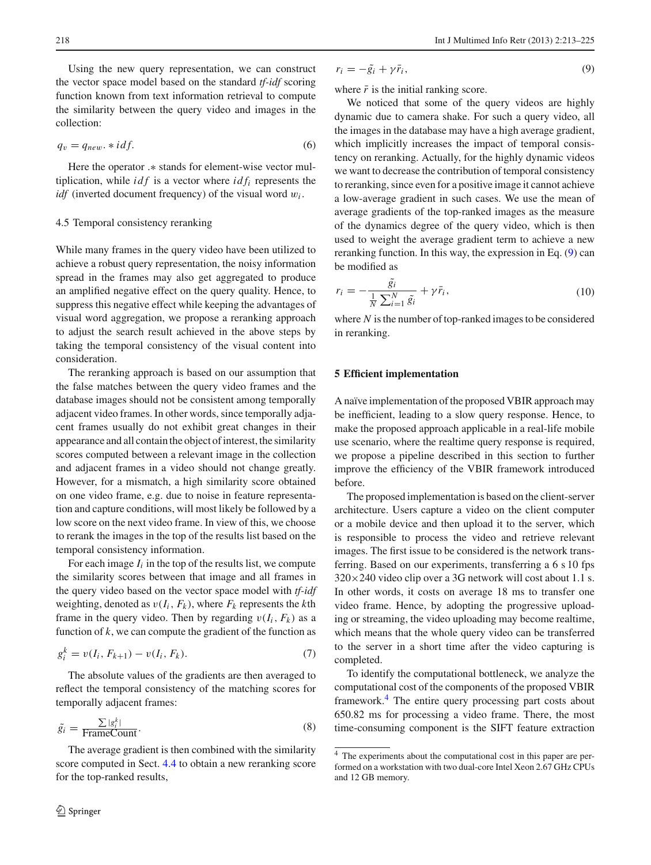Using the new query representation, we can construct the vector space model based on the standard *tf-idf* scoring function known from text information retrieval to compute the similarity between the query video and images in the collection:

$$
q_v = q_{new} \cdot * idf. \tag{6}
$$

Here the operator .∗ stands for element-wise vector multiplication, while *idf* is a vector where *idfi* represents the *idf* (inverted document frequency) of the visual word  $w_i$ .

### <span id="page-5-1"></span>4.5 Temporal consistency reranking

While many frames in the query video have been utilized to achieve a robust query representation, the noisy information spread in the frames may also get aggregated to produce an amplified negative effect on the query quality. Hence, to suppress this negative effect while keeping the advantages of visual word aggregation, we propose a reranking approach to adjust the search result achieved in the above steps by taking the temporal consistency of the visual content into consideration.

The reranking approach is based on our assumption that the false matches between the query video frames and the database images should not be consistent among temporally adjacent video frames. In other words, since temporally adjacent frames usually do not exhibit great changes in their appearance and all contain the object of interest, the similarity scores computed between a relevant image in the collection and adjacent frames in a video should not change greatly. However, for a mismatch, a high similarity score obtained on one video frame, e.g. due to noise in feature representation and capture conditions, will most likely be followed by a low score on the next video frame. In view of this, we choose to rerank the images in the top of the results list based on the temporal consistency information.

For each image  $I_i$  in the top of the results list, we compute the similarity scores between that image and all frames in the query video based on the vector space model with *tf-idf* weighting, denoted as  $v(I_i, F_k)$ , where  $F_k$  represents the *k*th frame in the query video. Then by regarding  $v(I_i, F_k)$  as a function of *k*, we can compute the gradient of the function as

$$
g_i^k = v(I_i, F_{k+1}) - v(I_i, F_k). \tag{7}
$$

The absolute values of the gradients are then averaged to reflect the temporal consistency of the matching scores for temporally adjacent frames:

$$
\tilde{g}_i = \frac{\sum |g_i^k|}{\text{FrameCount}}.\tag{8}
$$

The average gradient is then combined with the similarity score computed in Sect. [4.4](#page-4-1) to obtain a new reranking score for the top-ranked results,

<span id="page-5-2"></span>
$$
r_i = -\tilde{g}_i + \gamma \bar{r}_i,\tag{9}
$$

where  $\bar{r}$  is the initial ranking score.

We noticed that some of the query videos are highly dynamic due to camera shake. For such a query video, all the images in the database may have a high average gradient, which implicitly increases the impact of temporal consistency on reranking. Actually, for the highly dynamic videos we want to decrease the contribution of temporal consistency to reranking, since even for a positive image it cannot achieve a low-average gradient in such cases. We use the mean of average gradients of the top-ranked images as the measure of the dynamics degree of the query video, which is then used to weight the average gradient term to achieve a new reranking function. In this way, the expression in Eq. [\(9\)](#page-5-2) can be modified as

$$
r_i = -\frac{\tilde{g}_i}{\frac{1}{N} \sum_{i=1}^N \tilde{g}_i} + \gamma \bar{r}_i,
$$
\n(10)

where *N* is the number of top-ranked images to be considered in reranking.

### <span id="page-5-0"></span>**5 Efficient implementation**

A naïve implementation of the proposed VBIR approach may be inefficient, leading to a slow query response. Hence, to make the proposed approach applicable in a real-life mobile use scenario, where the realtime query response is required, we propose a pipeline described in this section to further improve the efficiency of the VBIR framework introduced before.

The proposed implementation is based on the client-server architecture. Users capture a video on the client computer or a mobile device and then upload it to the server, which is responsible to process the video and retrieve relevant images. The first issue to be considered is the network transferring. Based on our experiments, transferring a 6 s 10 fps  $320\times240$  video clip over a 3G network will cost about 1.1 s. In other words, it costs on average 18 ms to transfer one video frame. Hence, by adopting the progressive uploading or streaming, the video uploading may become realtime, which means that the whole query video can be transferred to the server in a short time after the video capturing is completed.

To identify the computational bottleneck, we analyze the computational cost of the components of the proposed VBIR framework.[4](#page-5-3) The entire query processing part costs about 650.82 ms for processing a video frame. There, the most time-consuming component is the SIFT feature extraction

<span id="page-5-3"></span><sup>4</sup> The experiments about the computational cost in this paper are performed on a workstation with two dual-core Intel Xeon 2.67 GHz CPUs and 12 GB memory.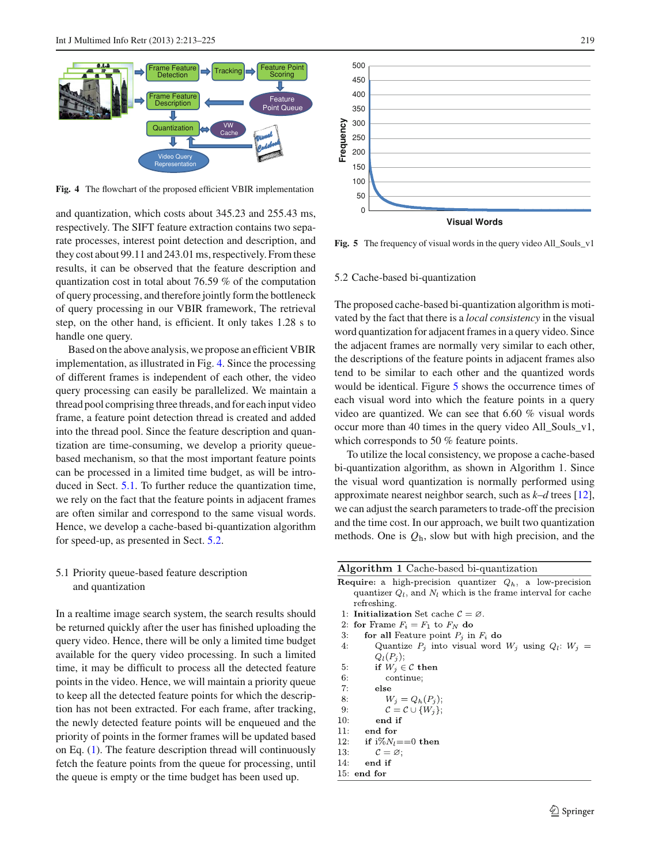

<span id="page-6-0"></span>**Fig. 4** The flowchart of the proposed efficient VBIR implementation

and quantization, which costs about 345.23 and 255.43 ms, respectively. The SIFT feature extraction contains two separate processes, interest point detection and description, and they cost about 99.11 and 243.01 ms, respectively. From these results, it can be observed that the feature description and quantization cost in total about 76.59 % of the computation of query processing, and therefore jointly form the bottleneck of query processing in our VBIR framework, The retrieval step, on the other hand, is efficient. It only takes 1.28 s to handle one query.

Based on the above analysis, we propose an efficient VBIR implementation, as illustrated in Fig. [4.](#page-6-0) Since the processing of different frames is independent of each other, the video query processing can easily be parallelized. We maintain a thread pool comprising three threads, and for each input video frame, a feature point detection thread is created and added into the thread pool. Since the feature description and quantization are time-consuming, we develop a priority queuebased mechanism, so that the most important feature points can be processed in a limited time budget, as will be introduced in Sect. [5.1.](#page-6-1) To further reduce the quantization time, we rely on the fact that the feature points in adjacent frames are often similar and correspond to the same visual words. Hence, we develop a cache-based bi-quantization algorithm for speed-up, as presented in Sect. [5.2.](#page-6-2)

# <span id="page-6-1"></span>5.1 Priority queue-based feature description and quantization

In a realtime image search system, the search results should be returned quickly after the user has finished uploading the query video. Hence, there will be only a limited time budget available for the query video processing. In such a limited time, it may be difficult to process all the detected feature points in the video. Hence, we will maintain a priority queue to keep all the detected feature points for which the description has not been extracted. For each frame, after tracking, the newly detected feature points will be enqueued and the priority of points in the former frames will be updated based on Eq. [\(1\)](#page-4-0). The feature description thread will continuously fetch the feature points from the queue for processing, until the queue is empty or the time budget has been used up.





<span id="page-6-3"></span><span id="page-6-2"></span>**Fig. 5** The frequency of visual words in the query video All\_Souls\_v1

### 5.2 Cache-based bi-quantization

The proposed cache-based bi-quantization algorithm is motivated by the fact that there is a *local consistency* in the visual word quantization for adjacent frames in a query video. Since the adjacent frames are normally very similar to each other, the descriptions of the feature points in adjacent frames also tend to be similar to each other and the quantized words would be identical. Figure [5](#page-6-3) shows the occurrence times of each visual word into which the feature points in a query video are quantized. We can see that 6.60 % visual words occur more than 40 times in the query video All\_Souls\_v1, which corresponds to 50 % feature points.

To utilize the local consistency, we propose a cache-based bi-quantization algorithm, as shown in Algorithm 1. Since the visual word quantization is normally performed using approximate nearest neighbor search, such as *k*–*d* trees [\[12](#page-12-17)], we can adjust the search parameters to trade-off the precision and the time cost. In our approach, we built two quantization methods. One is *Q*h, slow but with high precision, and the

Algorithm 1 Cache-based bi-quantization

- **Require:** a high-precision quantizer  $Q_h$ , a low-precision quantizer  $Q_l$ , and  $N_l$  which is the frame interval for cache refreshing.
- 1: Initialization Set cache  $C = \emptyset$ .
- 2: for Frame  $F_i = F_1$  to  $F_N$  do
- for all Feature point  $P_i$  in  $F_i$  do  $\cdot$ 3:
- $4:$ Quantize  $P_i$  into visual word  $W_i$  using  $Q_i$ :  $W_i$  =  $Q_l(P_j);$
- 5. if  $W_j \in \mathcal{C}$  then
- 6: continue;
- $7:$ else
- $W_i = Q_h(P_i);$ 8:
- $\mathcal{C} = \mathcal{C} \cup \{W_j\};$ 9:
- $10:$ end if
- $11:$ end for
- if  $i\%N_l == 0$  then  $12:$
- $13:$  $\mathcal{C}=\varnothing$
- $14:$ end if  $15:$  end for
-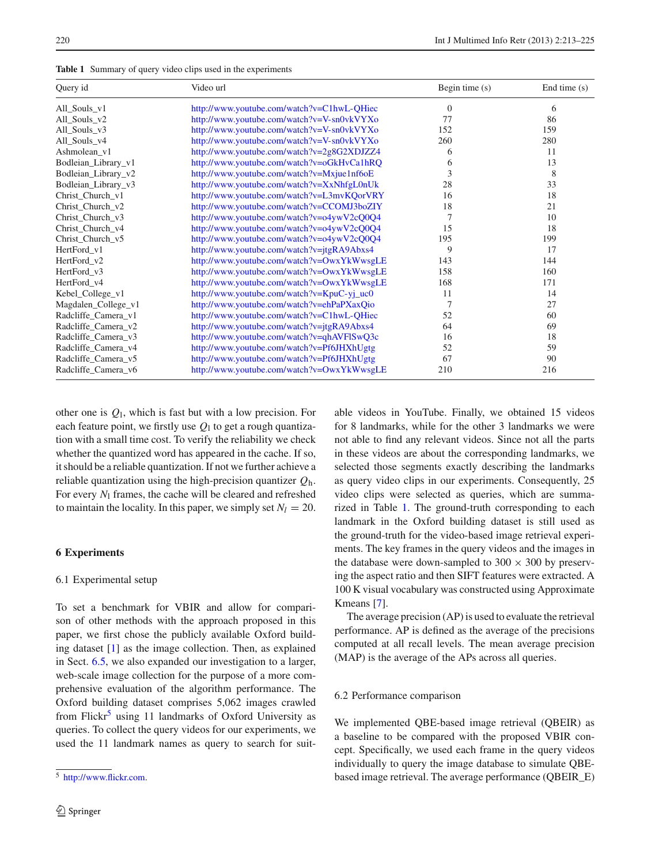|  |  |  |  |  | Table 1 Summary of query video clips used in the experiments |
|--|--|--|--|--|--------------------------------------------------------------|
|--|--|--|--|--|--------------------------------------------------------------|

<span id="page-7-2"></span>

| Query id            | Video url                                  | Begin time (s) | End time $(s)$ |
|---------------------|--------------------------------------------|----------------|----------------|
| All_Souls_v1        | http://www.youtube.com/watch?v=C1hwL-QHiec | $\Omega$       | 6              |
| All_Souls_v2        | http://www.youtube.com/watch?v=V-sn0vkVYXo | 77             | 86             |
| All_Souls_v3        | http://www.youtube.com/watch?v=V-sn0vkVYXo | 152            | 159            |
| All_Souls_v4        | http://www.youtube.com/watch?v=V-sn0vkVYXo | 260            | 280            |
| Ashmolean v1        | http://www.youtube.com/watch?v=2g8G2XDJZZ4 | 6              | 11             |
| Bodleian_Library_v1 | http://www.youtube.com/watch?v=oGkHvCa1hRQ | 6              | 13             |
| Bodleian_Library_v2 | http://www.youtube.com/watch?v=Mxjue1nf6oE | 3              | 8              |
| Bodleian_Library_v3 | http://www.youtube.com/watch?v=XxNhfgL0nUk | 28             | 33             |
| Christ_Church_v1    | http://www.youtube.com/watch?v=L3mvKQorVRY | 16             | 18             |
| Christ_Church_v2    | http://www.youtube.com/watch?v=CCOMJ3boZIY | 18             | 21             |
| Christ_Church_v3    | http://www.youtube.com/watch?v=o4ywV2cQ0Q4 | 7              | 10             |
| Christ Church v4    | http://www.youtube.com/watch?v=o4ywV2cQ0Q4 | 15             | 18             |
| Christ_Church_v5    | http://www.youtube.com/watch?v=o4ywV2cQ0Q4 | 195            | 199            |
| HertFord v1         | http://www.youtube.com/watch?v=jtgRA9Abxs4 | 9              | 17             |
| HertFord v2         | http://www.youtube.com/watch?v=OwxYkWwsgLE | 143            | 144            |
| HertFord_v3         | http://www.youtube.com/watch?v=OwxYkWwsgLE | 158            | 160            |
| HertFord v4         | http://www.youtube.com/watch?v=OwxYkWwsgLE | 168            | 171            |
| Kebel_College_v1    | http://www.youtube.com/watch?v=KpuC-yj_uc0 | 11             | 14             |
| Magdalen_College_v1 | http://www.youtube.com/watch?v=ehPaPXaxQio | 7              | 27             |
| Radcliffe_Camera_v1 | http://www.youtube.com/watch?v=C1hwL-QHiec | 52             | 60             |
| Radcliffe_Camera_v2 | http://www.youtube.com/watch?v=jtgRA9Abxs4 | 64             | 69             |
| Radcliffe_Camera_v3 | http://www.youtube.com/watch?v=qhAVFlSwQ3c | 16             | 18             |
| Radcliffe_Camera_v4 | http://www.youtube.com/watch?v=Pf6JHXhUgtg | 52             | 59             |
| Radcliffe_Camera_v5 | http://www.youtube.com/watch?v=Pf6JHXhUgtg | 67             | 90             |
| Radcliffe_Camera_v6 | http://www.youtube.com/watch?v=OwxYkWwsgLE | 210            | 216            |

other one is  $Q_1$ , which is fast but with a low precision. For each feature point, we firstly use  $Q_1$  to get a rough quantization with a small time cost. To verify the reliability we check whether the quantized word has appeared in the cache. If so, it should be a reliable quantization. If not we further achieve a reliable quantization using the high-precision quantizer *Q*h. For every  $N_1$  frames, the cache will be cleared and refreshed to maintain the locality. In this paper, we simply set  $N_l = 20$ .

# <span id="page-7-0"></span>**6 Experiments**

### 6.1 Experimental setup

To set a benchmark for VBIR and allow for comparison of other methods with the approach proposed in this paper, we first chose the publicly available Oxford building dataset [\[1](#page-12-2)] as the image collection. Then, as explained in Sect. [6.5,](#page-10-0) we also expanded our investigation to a larger, web-scale image collection for the purpose of a more comprehensive evaluation of the algorithm performance. The Oxford building dataset comprises 5,062 images crawled from Flickr $<sup>5</sup>$  $<sup>5</sup>$  $<sup>5</sup>$  using 11 landmarks of Oxford University as</sup> queries. To collect the query videos for our experiments, we used the 11 landmark names as query to search for suitable videos in YouTube. Finally, we obtained 15 videos for 8 landmarks, while for the other 3 landmarks we were not able to find any relevant videos. Since not all the parts in these videos are about the corresponding landmarks, we selected those segments exactly describing the landmarks as query video clips in our experiments. Consequently, 25 video clips were selected as queries, which are summarized in Table [1.](#page-7-2) The ground-truth corresponding to each landmark in the Oxford building dataset is still used as the ground-truth for the video-based image retrieval experiments. The key frames in the query videos and the images in the database were down-sampled to  $300 \times 300$  by preserving the aspect ratio and then SIFT features were extracted. A 100 K visual vocabulary was constructed using Approximate Kmeans [\[7\]](#page-12-20).

The average precision (AP) is used to evaluate the retrieval performance. AP is defined as the average of the precisions computed at all recall levels. The mean average precision (MAP) is the average of the APs across all queries.

#### 6.2 Performance comparison

We implemented QBE-based image retrieval (QBEIR) as a baseline to be compared with the proposed VBIR concept. Specifically, we used each frame in the query videos individually to query the image database to simulate QBEbased image retrieval. The average performance (QBEIR\_E)

<span id="page-7-1"></span><sup>5</sup> [http://www.flickr.com.](http://www.flickr.com)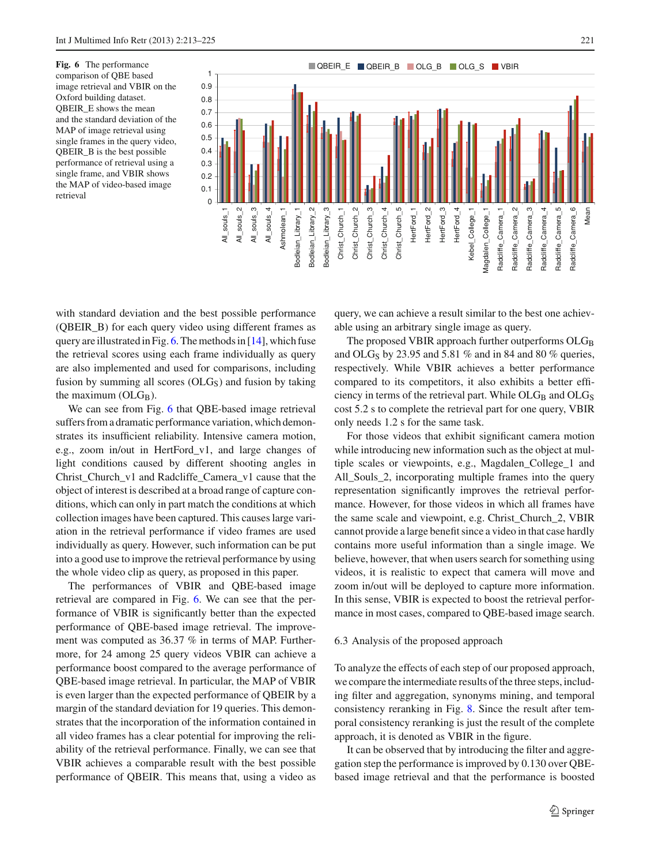<span id="page-8-0"></span>**Fig. 6** The performance comparison of QBE based image retrieval and VBIR on the Oxford building dataset. QBEIR\_E shows the mean and the standard deviation of the MAP of image retrieval using single frames in the query video, QBEIR\_B is the best possible performance of retrieval using a single frame, and VBIR shows the MAP of video-based image retrieval



with standard deviation and the best possible performance (QBEIR\_B) for each query video using different frames as query are illustrated in Fig. [6.](#page-8-0) The methods in [\[14\]](#page-12-8), which fuse the retrieval scores using each frame individually as query are also implemented and used for comparisons, including fusion by summing all scores  $(OLG<sub>S</sub>)$  and fusion by taking the maximum ( $OLG_B$ ).

We can see from Fig. [6](#page-8-0) that OBE-based image retrieval suffers from a dramatic performance variation, which demonstrates its insufficient reliability. Intensive camera motion, e.g., zoom in/out in HertFord\_v1, and large changes of light conditions caused by different shooting angles in Christ\_Church\_v1 and Radcliffe\_Camera\_v1 cause that the object of interest is described at a broad range of capture conditions, which can only in part match the conditions at which collection images have been captured. This causes large variation in the retrieval performance if video frames are used individually as query. However, such information can be put into a good use to improve the retrieval performance by using the whole video clip as query, as proposed in this paper.

The performances of VBIR and QBE-based image retrieval are compared in Fig. [6.](#page-8-0) We can see that the performance of VBIR is significantly better than the expected performance of QBE-based image retrieval. The improvement was computed as 36.37 % in terms of MAP. Furthermore, for 24 among 25 query videos VBIR can achieve a performance boost compared to the average performance of QBE-based image retrieval. In particular, the MAP of VBIR is even larger than the expected performance of QBEIR by a margin of the standard deviation for 19 queries. This demonstrates that the incorporation of the information contained in all video frames has a clear potential for improving the reliability of the retrieval performance. Finally, we can see that VBIR achieves a comparable result with the best possible performance of QBEIR. This means that, using a video as query, we can achieve a result similar to the best one achievable using an arbitrary single image as query.

The proposed VBIR approach further outperforms OLG<sub>B</sub> and OLG<sub>S</sub> by 23.95 and 5.81 % and in 84 and 80 % queries, respectively. While VBIR achieves a better performance compared to its competitors, it also exhibits a better efficiency in terms of the retrieval part. While  $OLG<sub>B</sub>$  and  $OLG<sub>S</sub>$ cost 5.2 s to complete the retrieval part for one query, VBIR only needs 1.2 s for the same task.

For those videos that exhibit significant camera motion while introducing new information such as the object at multiple scales or viewpoints, e.g., Magdalen\_College\_1 and All\_Souls\_2, incorporating multiple frames into the query representation significantly improves the retrieval performance. However, for those videos in which all frames have the same scale and viewpoint, e.g. Christ\_Church\_2, VBIR cannot provide a large benefit since a video in that case hardly contains more useful information than a single image. We believe, however, that when users search for something using videos, it is realistic to expect that camera will move and zoom in/out will be deployed to capture more information. In this sense, VBIR is expected to boost the retrieval performance in most cases, compared to QBE-based image search.

### 6.3 Analysis of the proposed approach

To analyze the effects of each step of our proposed approach, we compare the intermediate results of the three steps, including filter and aggregation, synonyms mining, and temporal consistency reranking in Fig. [8.](#page-9-0) Since the result after temporal consistency reranking is just the result of the complete approach, it is denoted as VBIR in the figure.

It can be observed that by introducing the filter and aggregation step the performance is improved by 0.130 over QBEbased image retrieval and that the performance is boosted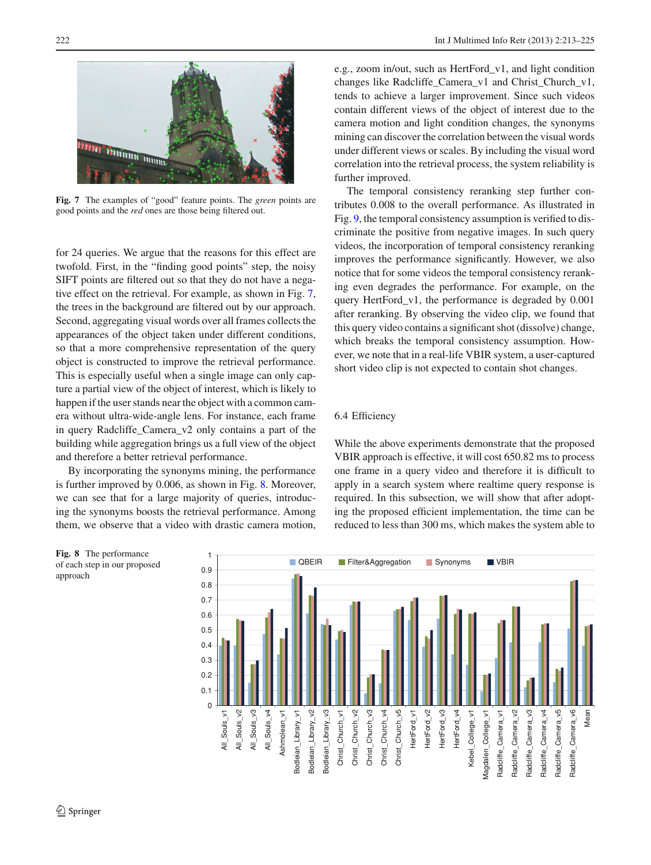



**Fig. 7** The examples of "good" feature points. The *green* points are good points and the *red* ones are those being filtered out.

<span id="page-9-1"></span>for 24 queries. We argue that the reasons for this effect are twofold. First, in the "finding good points" step, the noisy SIFT points are filtered out so that they do not have a negative effect on the retrieval. For example, as shown in Fig. [7,](#page-9-1) the trees in the background are filtered out by our approach. Second, aggregating visual words over all frames collects the appearances of the object taken under different conditions, so that a more comprehensive representation of the query object is constructed to improve the retrieval performance. This is especially useful when a single image can only capture a partial view of the object of interest, which is likely to happen if the user stands near the object with a common camera without ultra-wide-angle lens. For instance, each frame in query Radcliffe\_Camera\_v2 only contains a part of the building while aggregation brings us a full view of the object and therefore a better retrieval performance.

By incorporating the synonyms mining, the performance is further improved by 0.006, as shown in Fig. [8.](#page-9-0) Moreover, we can see that for a large majority of queries, introducing the synonyms boosts the retrieval performance. Among them, we observe that a video with drastic camera motion,

e.g., zoom in/out, such as HertFord\_v1, and light condition changes like Radcliffe\_Camera\_v1 and Christ\_Church\_v1, tends to achieve a larger improvement. Since such videos contain different views of the object of interest due to the camera motion and light condition changes, the synonyms mining can discover the correlation between the visual words under different views or scales. By including the visual word correlation into the retrieval process, the system reliability is further improved.

The temporal consistency reranking step further contributes 0.008 to the overall performance. As illustrated in Fig. [9,](#page-10-1) the temporal consistency assumption is verified to discriminate the positive from negative images. In such query videos, the incorporation of temporal consistency reranking improves the performance significantly. However, we also notice that for some videos the temporal consistency reranking even degrades the performance. For example, on the query HertFord\_v1, the performance is degraded by 0.001 after reranking. By observing the video clip, we found that this query video contains a significant shot (dissolve) change, which breaks the temporal consistency assumption. However, we note that in a real-life VBIR system, a user-captured short video clip is not expected to contain shot changes.

# 6.4 Efficiency

While the above experiments demonstrate that the proposed VBIR approach is effective, it will cost 650.82 ms to process one frame in a query video and therefore it is difficult to apply in a search system where realtime query response is required. In this subsection, we will show that after adopting the proposed efficient implementation, the time can be reduced to less than 300 ms, which makes the system able to



<span id="page-9-0"></span>of each step in our proposed approach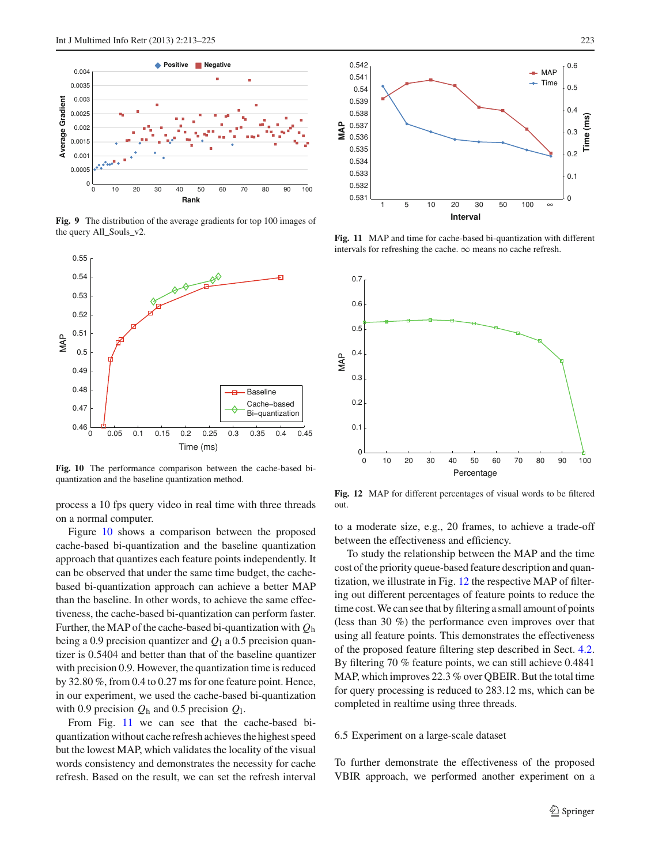

**Fig. 9** The distribution of the average gradients for top 100 images of the query All\_Souls\_v2.

<span id="page-10-1"></span>

<span id="page-10-2"></span>**Fig. 10** The performance comparison between the cache-based biquantization and the baseline quantization method.

process a 10 fps query video in real time with three threads on a normal computer.

Figure [10](#page-10-2) shows a comparison between the proposed cache-based bi-quantization and the baseline quantization approach that quantizes each feature points independently. It can be observed that under the same time budget, the cachebased bi-quantization approach can achieve a better MAP than the baseline. In other words, to achieve the same effectiveness, the cache-based bi-quantization can perform faster. Further, the MAP of the cache-based bi-quantization with *Q*<sup>h</sup> being a 0.9 precision quantizer and  $Q_1$  a 0.5 precision quantizer is 0.5404 and better than that of the baseline quantizer with precision 0.9. However, the quantization time is reduced by 32.80 %, from 0.4 to 0.27 ms for one feature point. Hence, in our experiment, we used the cache-based bi-quantization with 0.9 precision  $Q_h$  and 0.5 precision  $Q_l$ .

From Fig. [11](#page-10-3) we can see that the cache-based biquantization without cache refresh achieves the highest speed but the lowest MAP, which validates the locality of the visual words consistency and demonstrates the necessity for cache refresh. Based on the result, we can set the refresh interval



**Fig. 11** MAP and time for cache-based bi-quantization with different intervals for refreshing the cache.  $\infty$  means no cache refresh.

<span id="page-10-3"></span>

<span id="page-10-4"></span>**Fig. 12** MAP for different percentages of visual words to be filtered out.

to a moderate size, e.g., 20 frames, to achieve a trade-off between the effectiveness and efficiency.

To study the relationship between the MAP and the time cost of the priority queue-based feature description and quantization, we illustrate in Fig. [12](#page-10-4) the respective MAP of filtering out different percentages of feature points to reduce the time cost.We can see that by filtering a small amount of points (less than 30 %) the performance even improves over that using all feature points. This demonstrates the effectiveness of the proposed feature filtering step described in Sect. [4.2.](#page-3-2) By filtering 70 % feature points, we can still achieve 0.4841 MAP, which improves 22.3 % over QBEIR. But the total time for query processing is reduced to 283.12 ms, which can be completed in realtime using three threads.

### <span id="page-10-0"></span>6.5 Experiment on a large-scale dataset

To further demonstrate the effectiveness of the proposed VBIR approach, we performed another experiment on a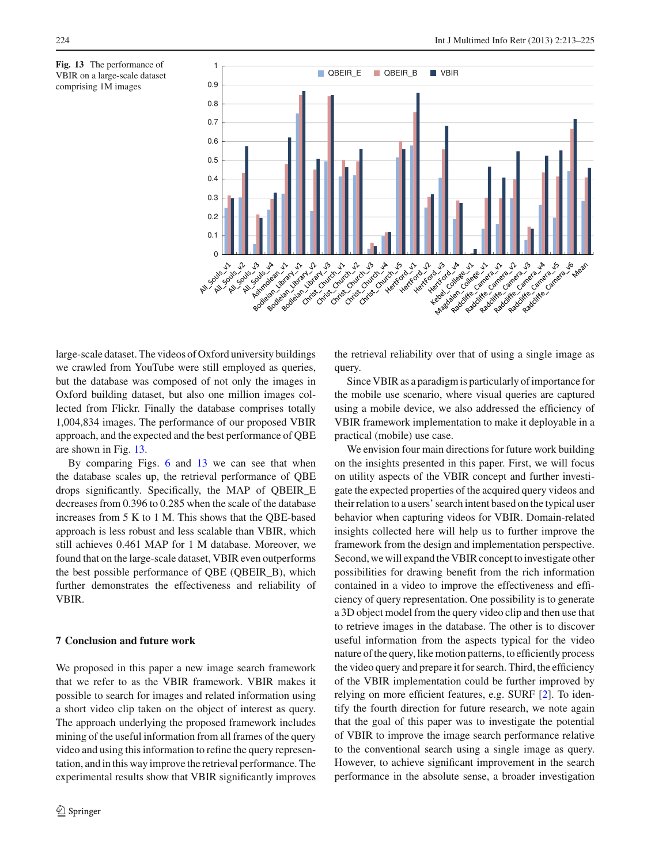<span id="page-11-1"></span>



large-scale dataset. The videos of Oxford university buildings we crawled from YouTube were still employed as queries, but the database was composed of not only the images in Oxford building dataset, but also one million images collected from Flickr. Finally the database comprises totally 1,004,834 images. The performance of our proposed VBIR approach, and the expected and the best performance of QBE are shown in Fig. [13.](#page-11-1)

By comparing Figs. [6](#page-8-0) and [13](#page-11-1) we can see that when the database scales up, the retrieval performance of QBE drops significantly. Specifically, the MAP of QBEIR\_E decreases from 0.396 to 0.285 when the scale of the database increases from 5 K to 1 M. This shows that the QBE-based approach is less robust and less scalable than VBIR, which still achieves 0.461 MAP for 1 M database. Moreover, we found that on the large-scale dataset, VBIR even outperforms the best possible performance of QBE (QBEIR\_B), which further demonstrates the effectiveness and reliability of VBIR.

# <span id="page-11-0"></span>**7 Conclusion and future work**

We proposed in this paper a new image search framework that we refer to as the VBIR framework. VBIR makes it possible to search for images and related information using a short video clip taken on the object of interest as query. The approach underlying the proposed framework includes mining of the useful information from all frames of the query video and using this information to refine the query representation, and in this way improve the retrieval performance. The experimental results show that VBIR significantly improves the retrieval reliability over that of using a single image as query.

Since VBIR as a paradigm is particularly of importance for the mobile use scenario, where visual queries are captured using a mobile device, we also addressed the efficiency of VBIR framework implementation to make it deployable in a practical (mobile) use case.

We envision four main directions for future work building on the insights presented in this paper. First, we will focus on utility aspects of the VBIR concept and further investigate the expected properties of the acquired query videos and their relation to a users' search intent based on the typical user behavior when capturing videos for VBIR. Domain-related insights collected here will help us to further improve the framework from the design and implementation perspective. Second, we will expand the VBIR concept to investigate other possibilities for drawing benefit from the rich information contained in a video to improve the effectiveness and efficiency of query representation. One possibility is to generate a 3D object model from the query video clip and then use that to retrieve images in the database. The other is to discover useful information from the aspects typical for the video nature of the query, like motion patterns, to efficiently process the video query and prepare it for search. Third, the efficiency of the VBIR implementation could be further improved by relying on more efficient features, e.g. SURF [\[2](#page-12-14)]. To identify the fourth direction for future research, we note again that the goal of this paper was to investigate the potential of VBIR to improve the image search performance relative to the conventional search using a single image as query. However, to achieve significant improvement in the search performance in the absolute sense, a broader investigation